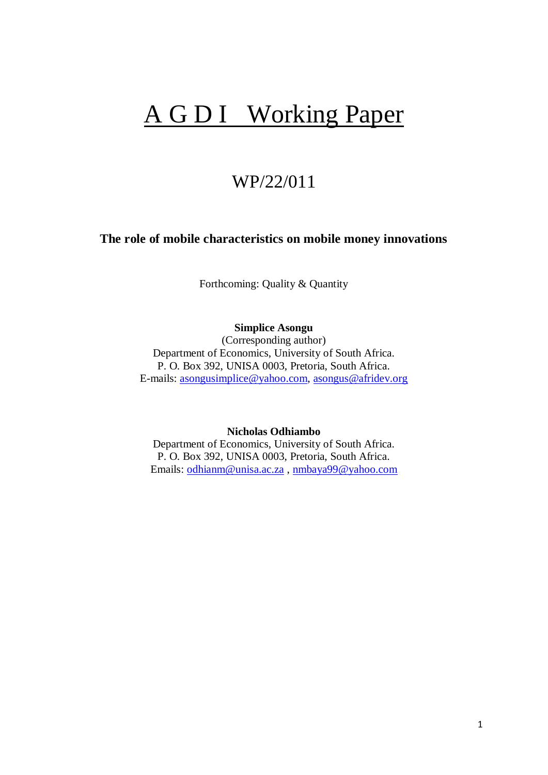# A G D I Working Paper

# WP/22/011

# **The role of mobile characteristics on mobile money innovations**

Forthcoming: Quality & Quantity

**Simplice Asongu**

(Corresponding author) Department of Economics, University of South Africa. P. O. Box 392, UNISA 0003, Pretoria, South Africa. E-mails: [asongusimplice@yahoo.com,](mailto:asongusimplice@yahoo.com) [asongus@afridev.org](mailto:asongus@afridev.org)

**Nicholas Odhiambo**

Department of Economics, University of South Africa. P. O. Box 392, UNISA 0003, Pretoria, South Africa. Emails: [odhianm@unisa.ac.za](mailto:odhianm@unisa.ac.za) , [nmbaya99@yahoo.com](mailto:nmbaya99@yahoo.com)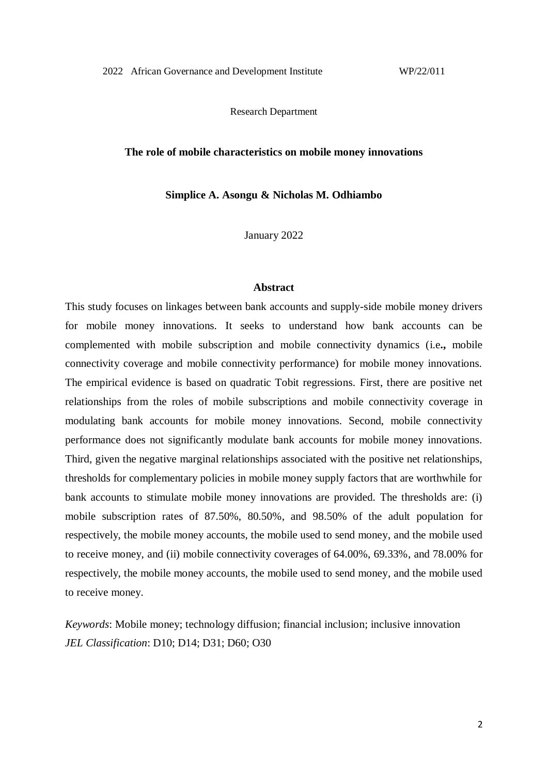Research Department

#### **The role of mobile characteristics on mobile money innovations**

**Simplice A. Asongu & Nicholas M. Odhiambo**

January 2022

#### **Abstract**

This study focuses on linkages between bank accounts and supply-side mobile money drivers for mobile money innovations. It seeks to understand how bank accounts can be complemented with mobile subscription and mobile connectivity dynamics (i.e**.,** mobile connectivity coverage and mobile connectivity performance) for mobile money innovations. The empirical evidence is based on quadratic Tobit regressions. First, there are positive net relationships from the roles of mobile subscriptions and mobile connectivity coverage in modulating bank accounts for mobile money innovations. Second, mobile connectivity performance does not significantly modulate bank accounts for mobile money innovations. Third, given the negative marginal relationships associated with the positive net relationships, thresholds for complementary policies in mobile money supply factors that are worthwhile for bank accounts to stimulate mobile money innovations are provided. The thresholds are: (i) mobile subscription rates of 87.50%, 80.50%, and 98.50% of the adult population for respectively, the mobile money accounts, the mobile used to send money, and the mobile used to receive money, and (ii) mobile connectivity coverages of 64.00%, 69.33%, and 78.00% for respectively, the mobile money accounts, the mobile used to send money, and the mobile used to receive money.

*Keywords*: Mobile money; technology diffusion; financial inclusion; inclusive innovation *JEL Classification*: D10; D14; D31; D60; O30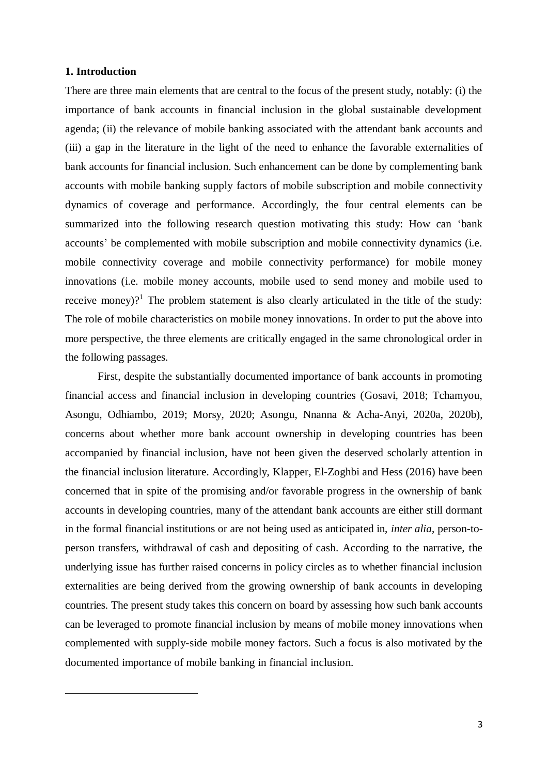#### **1. Introduction**

**.** 

There are three main elements that are central to the focus of the present study, notably: (i) the importance of bank accounts in financial inclusion in the global sustainable development agenda; (ii) the relevance of mobile banking associated with the attendant bank accounts and (iii) a gap in the literature in the light of the need to enhance the favorable externalities of bank accounts for financial inclusion. Such enhancement can be done by complementing bank accounts with mobile banking supply factors of mobile subscription and mobile connectivity dynamics of coverage and performance. Accordingly, the four central elements can be summarized into the following research question motivating this study: How can 'bank accounts' be complemented with mobile subscription and mobile connectivity dynamics (i.e. mobile connectivity coverage and mobile connectivity performance) for mobile money innovations (i.e. mobile money accounts, mobile used to send money and mobile used to receive money)?<sup>1</sup> The problem statement is also clearly articulated in the title of the study: The role of mobile characteristics on mobile money innovations. In order to put the above into more perspective, the three elements are critically engaged in the same chronological order in the following passages.

First, despite the substantially documented importance of bank accounts in promoting financial access and financial inclusion in developing countries (Gosavi, 2018; Tchamyou, Asongu, Odhiambo, 2019; Morsy, 2020; Asongu, Nnanna & Acha-Anyi, 2020a, 2020b), concerns about whether more bank account ownership in developing countries has been accompanied by financial inclusion, have not been given the deserved scholarly attention in the financial inclusion literature. Accordingly, Klapper, El-Zoghbi and Hess (2016) have been concerned that in spite of the promising and/or favorable progress in the ownership of bank accounts in developing countries, many of the attendant bank accounts are either still dormant in the formal financial institutions or are not being used as anticipated in, *inter alia*, person-toperson transfers, withdrawal of cash and depositing of cash. According to the narrative, the underlying issue has further raised concerns in policy circles as to whether financial inclusion externalities are being derived from the growing ownership of bank accounts in developing countries. The present study takes this concern on board by assessing how such bank accounts can be leveraged to promote financial inclusion by means of mobile money innovations when complemented with supply-side mobile money factors. Such a focus is also motivated by the documented importance of mobile banking in financial inclusion.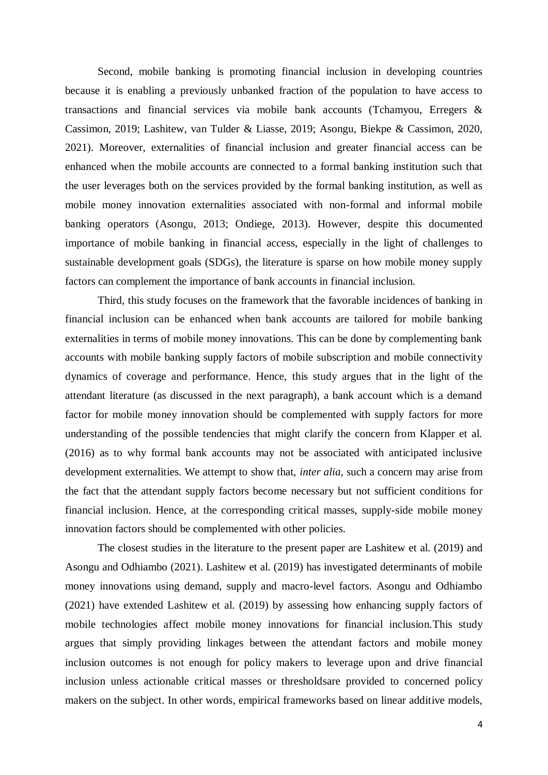Second, mobile banking is promoting financial inclusion in developing countries because it is enabling a previously unbanked fraction of the population to have access to transactions and financial services via mobile bank accounts (Tchamyou, Erregers & Cassimon, 2019; Lashitew, van Tulder & Liasse, 2019; Asongu, Biekpe & Cassimon, 2020, 2021). Moreover, externalities of financial inclusion and greater financial access can be enhanced when the mobile accounts are connected to a formal banking institution such that the user leverages both on the services provided by the formal banking institution, as well as mobile money innovation externalities associated with non-formal and informal mobile banking operators (Asongu, 2013; Ondiege, 2013). However, despite this documented importance of mobile banking in financial access, especially in the light of challenges to sustainable development goals (SDGs), the literature is sparse on how mobile money supply factors can complement the importance of bank accounts in financial inclusion.

Third, this study focuses on the framework that the favorable incidences of banking in financial inclusion can be enhanced when bank accounts are tailored for mobile banking externalities in terms of mobile money innovations. This can be done by complementing bank accounts with mobile banking supply factors of mobile subscription and mobile connectivity dynamics of coverage and performance. Hence, this study argues that in the light of the attendant literature (as discussed in the next paragraph), a bank account which is a demand factor for mobile money innovation should be complemented with supply factors for more understanding of the possible tendencies that might clarify the concern from Klapper et al. (2016) as to why formal bank accounts may not be associated with anticipated inclusive development externalities. We attempt to show that, *inter alia*, such a concern may arise from the fact that the attendant supply factors become necessary but not sufficient conditions for financial inclusion. Hence, at the corresponding critical masses, supply-side mobile money innovation factors should be complemented with other policies.

The closest studies in the literature to the present paper are Lashitew et al. (2019) and Asongu and Odhiambo (2021). Lashitew et al. (2019) has investigated determinants of mobile money innovations using demand, supply and macro-level factors. Asongu and Odhiambo (2021) have extended Lashitew et al. (2019) by assessing how enhancing supply factors of mobile technologies affect mobile money innovations for financial inclusion.This study argues that simply providing linkages between the attendant factors and mobile money inclusion outcomes is not enough for policy makers to leverage upon and drive financial inclusion unless actionable critical masses or thresholdsare provided to concerned policy makers on the subject. In other words, empirical frameworks based on linear additive models,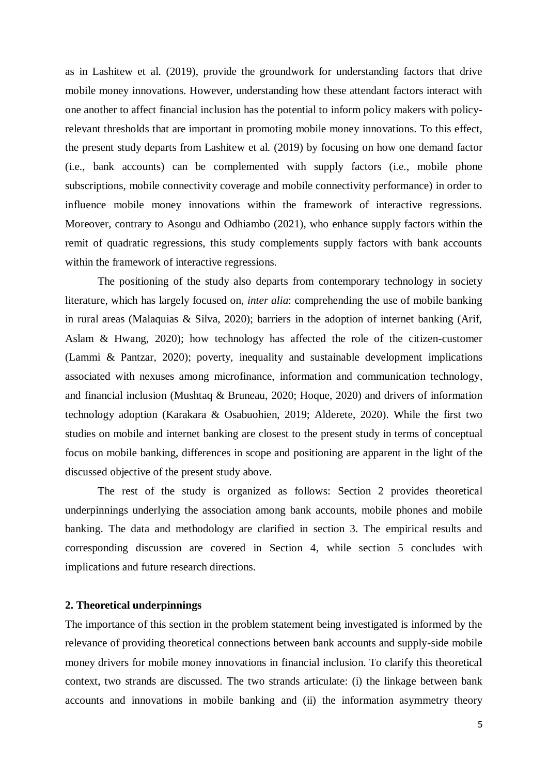as in Lashitew et al. (2019), provide the groundwork for understanding factors that drive mobile money innovations. However, understanding how these attendant factors interact with one another to affect financial inclusion has the potential to inform policy makers with policyrelevant thresholds that are important in promoting mobile money innovations. To this effect, the present study departs from Lashitew et al. (2019) by focusing on how one demand factor (i.e., bank accounts) can be complemented with supply factors (i.e., mobile phone subscriptions, mobile connectivity coverage and mobile connectivity performance) in order to influence mobile money innovations within the framework of interactive regressions. Moreover, contrary to Asongu and Odhiambo (2021), who enhance supply factors within the remit of quadratic regressions, this study complements supply factors with bank accounts within the framework of interactive regressions.

The positioning of the study also departs from contemporary technology in society literature, which has largely focused on, *inter alia*: comprehending the use of mobile banking in rural areas (Malaquias & Silva, 2020); barriers in the adoption of internet banking (Arif, Aslam & Hwang, 2020); how technology has affected the role of the citizen-customer (Lammi & Pantzar, 2020); poverty, inequality and sustainable development implications associated with nexuses among microfinance, information and communication technology, and financial inclusion (Mushtaq & Bruneau, 2020; Hoque, 2020) and drivers of information technology adoption (Karakara & Osabuohien, 2019; Alderete, 2020). While the first two studies on mobile and internet banking are closest to the present study in terms of conceptual focus on mobile banking, differences in scope and positioning are apparent in the light of the discussed objective of the present study above.

The rest of the study is organized as follows: Section 2 provides theoretical underpinnings underlying the association among bank accounts, mobile phones and mobile banking. The data and methodology are clarified in section 3. The empirical results and corresponding discussion are covered in Section 4, while section 5 concludes with implications and future research directions.

#### **2. Theoretical underpinnings**

The importance of this section in the problem statement being investigated is informed by the relevance of providing theoretical connections between bank accounts and supply-side mobile money drivers for mobile money innovations in financial inclusion. To clarify this theoretical context, two strands are discussed. The two strands articulate: (i) the linkage between bank accounts and innovations in mobile banking and (ii) the information asymmetry theory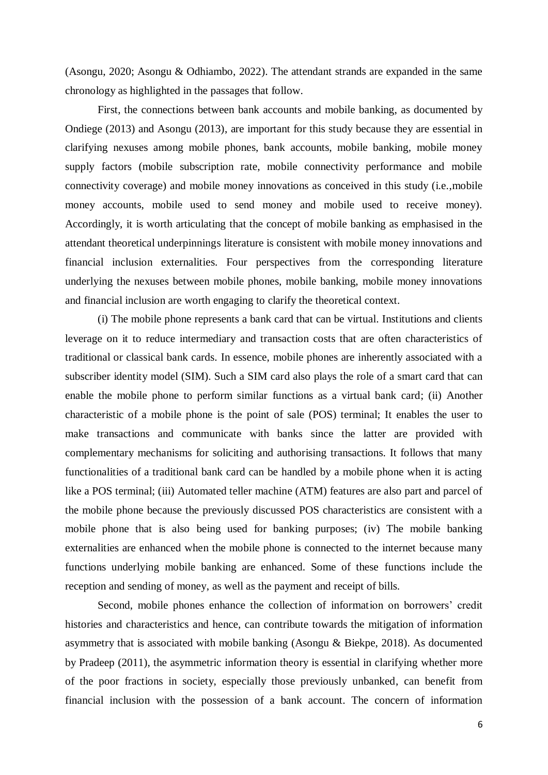(Asongu, 2020; Asongu & Odhiambo, 2022). The attendant strands are expanded in the same chronology as highlighted in the passages that follow.

First, the connections between bank accounts and mobile banking, as documented by Ondiege (2013) and Asongu (2013), are important for this study because they are essential in clarifying nexuses among mobile phones, bank accounts, mobile banking, mobile money supply factors (mobile subscription rate, mobile connectivity performance and mobile connectivity coverage) and mobile money innovations as conceived in this study (i.e.,mobile money accounts, mobile used to send money and mobile used to receive money). Accordingly, it is worth articulating that the concept of mobile banking as emphasised in the attendant theoretical underpinnings literature is consistent with mobile money innovations and financial inclusion externalities. Four perspectives from the corresponding literature underlying the nexuses between mobile phones, mobile banking, mobile money innovations and financial inclusion are worth engaging to clarify the theoretical context.

(i) The mobile phone represents a bank card that can be virtual. Institutions and clients leverage on it to reduce intermediary and transaction costs that are often characteristics of traditional or classical bank cards. In essence, mobile phones are inherently associated with a subscriber identity model (SIM). Such a SIM card also plays the role of a smart card that can enable the mobile phone to perform similar functions as a virtual bank card; (ii) Another characteristic of a mobile phone is the point of sale (POS) terminal; It enables the user to make transactions and communicate with banks since the latter are provided with complementary mechanisms for soliciting and authorising transactions. It follows that many functionalities of a traditional bank card can be handled by a mobile phone when it is acting like a POS terminal; (iii) Automated teller machine (ATM) features are also part and parcel of the mobile phone because the previously discussed POS characteristics are consistent with a mobile phone that is also being used for banking purposes; (iv) The mobile banking externalities are enhanced when the mobile phone is connected to the internet because many functions underlying mobile banking are enhanced. Some of these functions include the reception and sending of money, as well as the payment and receipt of bills.

Second, mobile phones enhance the collection of information on borrowers' credit histories and characteristics and hence, can contribute towards the mitigation of information asymmetry that is associated with mobile banking (Asongu & Biekpe, 2018). As documented by Pradeep (2011), the asymmetric information theory is essential in clarifying whether more of the poor fractions in society, especially those previously unbanked, can benefit from financial inclusion with the possession of a bank account. The concern of information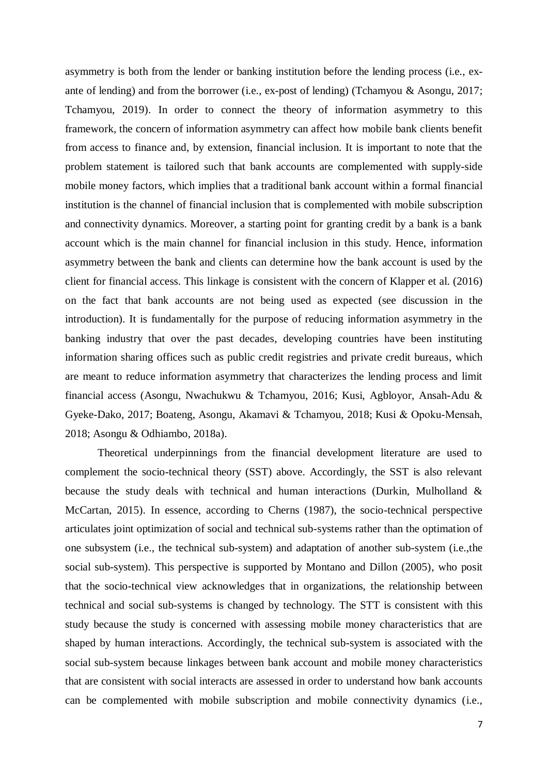asymmetry is both from the lender or banking institution before the lending process (i.e., exante of lending) and from the borrower (i.e., ex-post of lending) (Tchamyou & Asongu, 2017; Tchamyou, 2019). In order to connect the theory of information asymmetry to this framework, the concern of information asymmetry can affect how mobile bank clients benefit from access to finance and, by extension, financial inclusion. It is important to note that the problem statement is tailored such that bank accounts are complemented with supply-side mobile money factors, which implies that a traditional bank account within a formal financial institution is the channel of financial inclusion that is complemented with mobile subscription and connectivity dynamics. Moreover, a starting point for granting credit by a bank is a bank account which is the main channel for financial inclusion in this study. Hence, information asymmetry between the bank and clients can determine how the bank account is used by the client for financial access. This linkage is consistent with the concern of Klapper et al. (2016) on the fact that bank accounts are not being used as expected (see discussion in the introduction). It is fundamentally for the purpose of reducing information asymmetry in the banking industry that over the past decades, developing countries have been instituting information sharing offices such as public credit registries and private credit bureaus, which are meant to reduce information asymmetry that characterizes the lending process and limit financial access (Asongu, Nwachukwu & Tchamyou, 2016; Kusi, Agbloyor, Ansah-Adu & Gyeke-Dako, 2017; Boateng, Asongu, Akamavi & Tchamyou, 2018; Kusi & Opoku‐Mensah, 2018; Asongu & Odhiambo, 2018a).

Theoretical underpinnings from the financial development literature are used to complement the socio-technical theory (SST) above. Accordingly, the SST is also relevant because the study deals with technical and human interactions (Durkin, Mulholland  $\&$ McCartan, 2015). In essence, according to Cherns (1987), the socio-technical perspective articulates joint optimization of social and technical sub-systems rather than the optimation of one subsystem (i.e., the technical sub-system) and adaptation of another sub-system (i.e.,the social sub-system). This perspective is supported by Montano and Dillon (2005), who posit that the socio-technical view acknowledges that in organizations, the relationship between technical and social sub-systems is changed by technology. The STT is consistent with this study because the study is concerned with assessing mobile money characteristics that are shaped by human interactions. Accordingly, the technical sub-system is associated with the social sub-system because linkages between bank account and mobile money characteristics that are consistent with social interacts are assessed in order to understand how bank accounts can be complemented with mobile subscription and mobile connectivity dynamics (i.e.,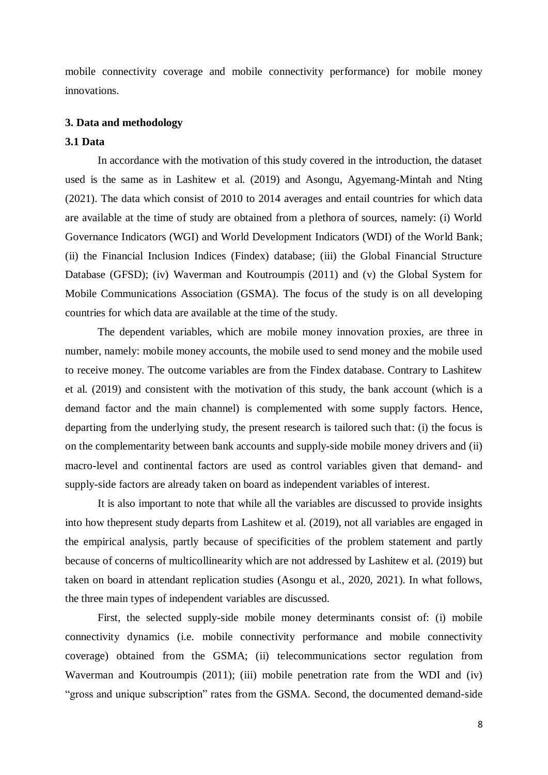mobile connectivity coverage and mobile connectivity performance) for mobile money innovations.

#### **3. Data and methodology**

#### **3.1 Data**

In accordance with the motivation of this study covered in the introduction, the dataset used is the same as in Lashitew et al. (2019) and Asongu, Agyemang-Mintah and Nting (2021). The data which consist of 2010 to 2014 averages and entail countries for which data are available at the time of study are obtained from a plethora of sources, namely: (i) World Governance Indicators (WGI) and World Development Indicators (WDI) of the World Bank; (ii) the Financial Inclusion Indices (Findex) database; (iii) the Global Financial Structure Database (GFSD); (iv) Waverman and Koutroumpis (2011) and (v) the Global System for Mobile Communications Association (GSMA). The focus of the study is on all developing countries for which data are available at the time of the study.

The dependent variables, which are mobile money innovation proxies, are three in number, namely: mobile money accounts, the mobile used to send money and the mobile used to receive money. The outcome variables are from the Findex database. Contrary to Lashitew et al. (2019) and consistent with the motivation of this study, the bank account (which is a demand factor and the main channel) is complemented with some supply factors. Hence, departing from the underlying study, the present research is tailored such that: (i) the focus is on the complementarity between bank accounts and supply-side mobile money drivers and (ii) macro-level and continental factors are used as control variables given that demand- and supply-side factors are already taken on board as independent variables of interest.

It is also important to note that while all the variables are discussed to provide insights into how thepresent study departs from Lashitew et al. (2019), not all variables are engaged in the empirical analysis, partly because of specificities of the problem statement and partly because of concerns of multicollinearity which are not addressed by Lashitew et al. (2019) but taken on board in attendant replication studies (Asongu et al., 2020, 2021). In what follows, the three main types of independent variables are discussed.

First, the selected supply-side mobile money determinants consist of: (i) mobile connectivity dynamics (i.e. mobile connectivity performance and mobile connectivity coverage) obtained from the GSMA; (ii) telecommunications sector regulation from Waverman and Koutroumpis (2011); (iii) mobile penetration rate from the WDI and (iv) "gross and unique subscription" rates from the GSMA. Second, the documented demand-side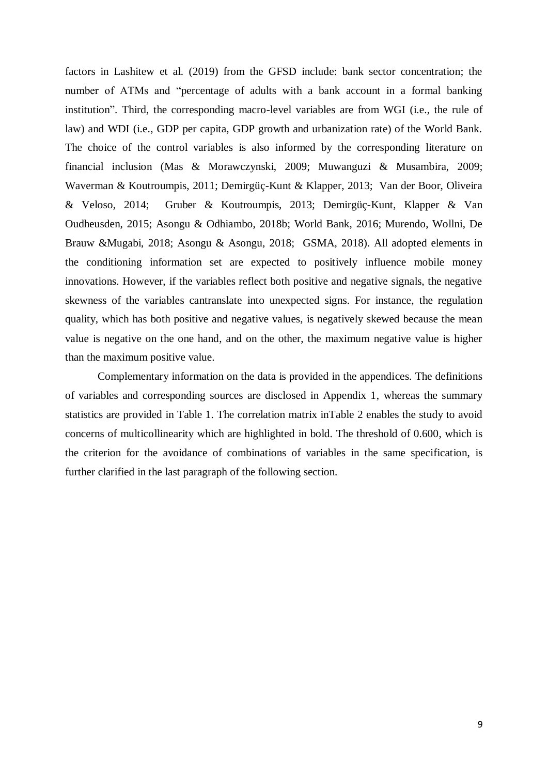factors in Lashitew et al. (2019) from the GFSD include: bank sector concentration; the number of ATMs and "percentage of adults with a bank account in a formal banking institution". Third, the corresponding macro-level variables are from WGI (i.e., the rule of law) and WDI (i.e., GDP per capita, GDP growth and urbanization rate) of the World Bank. The choice of the control variables is also informed by the corresponding literature on financial inclusion (Mas & Morawczynski, 2009; Muwanguzi & Musambira, 2009; Waverman & Koutroumpis, 2011; Demirgüç-Kunt & Klapper, 2013; Van der Boor, Oliveira & Veloso, 2014; Gruber & Koutroumpis, 2013; Demirgüç-Kunt, Klapper & Van Oudheusden, 2015; Asongu & Odhiambo, 2018b; World Bank, 2016; Murendo, Wollni, De Brauw &Mugabi, 2018; Asongu & Asongu, 2018; GSMA, 2018). All adopted elements in the conditioning information set are expected to positively influence mobile money innovations. However, if the variables reflect both positive and negative signals, the negative skewness of the variables cantranslate into unexpected signs. For instance, the regulation quality, which has both positive and negative values, is negatively skewed because the mean value is negative on the one hand, and on the other, the maximum negative value is higher than the maximum positive value.

Complementary information on the data is provided in the appendices. The definitions of variables and corresponding sources are disclosed in Appendix 1, whereas the summary statistics are provided in Table 1. The correlation matrix inTable 2 enables the study to avoid concerns of multicollinearity which are highlighted in bold. The threshold of 0.600, which is the criterion for the avoidance of combinations of variables in the same specification, is further clarified in the last paragraph of the following section.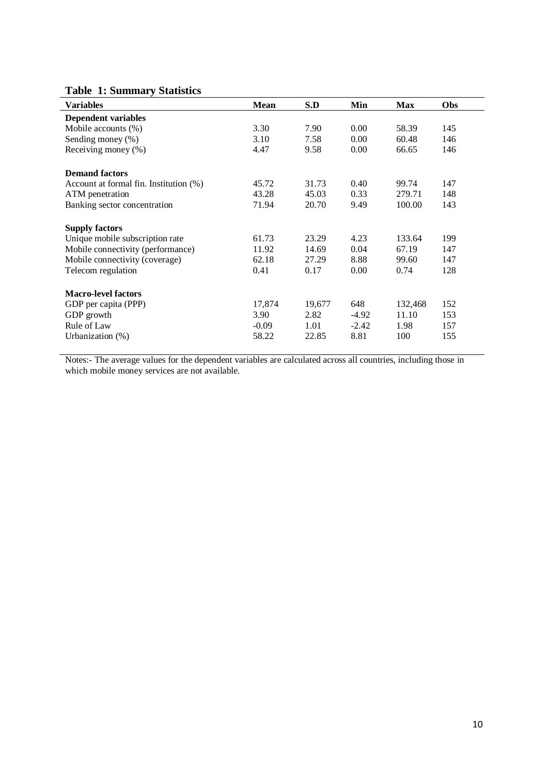## **Table 1: Summary Statistics**

| <b>Variables</b>                       | <b>Mean</b> | S.D    | Min     | <b>Max</b> | Obs |
|----------------------------------------|-------------|--------|---------|------------|-----|
| <b>Dependent variables</b>             |             |        |         |            |     |
| Mobile accounts (%)                    | 3.30        | 7.90   | 0.00    | 58.39      | 145 |
| Sending money (%)                      | 3.10        | 7.58   | 0.00    | 60.48      | 146 |
| Receiving money (%)                    | 4.47        | 9.58   | 0.00    | 66.65      | 146 |
| <b>Demand factors</b>                  |             |        |         |            |     |
| Account at formal fin. Institution (%) | 45.72       | 31.73  | 0.40    | 99.74      | 147 |
| ATM penetration                        | 43.28       | 45.03  | 0.33    | 279.71     | 148 |
| Banking sector concentration           | 71.94       | 20.70  | 9.49    | 100.00     | 143 |
| <b>Supply factors</b>                  |             |        |         |            |     |
| Unique mobile subscription rate        | 61.73       | 23.29  | 4.23    | 133.64     | 199 |
| Mobile connectivity (performance)      | 11.92       | 14.69  | 0.04    | 67.19      | 147 |
| Mobile connectivity (coverage)         | 62.18       | 27.29  | 8.88    | 99.60      | 147 |
| Telecom regulation                     | 0.41        | 0.17   | 0.00    | 0.74       | 128 |
| <b>Macro-level factors</b>             |             |        |         |            |     |
| GDP per capita (PPP)                   | 17,874      | 19,677 | 648     | 132,468    | 152 |
| GDP growth                             | 3.90        | 2.82   | $-4.92$ | 11.10      | 153 |
| Rule of Law                            | $-0.09$     | 1.01   | $-2.42$ | 1.98       | 157 |
| Urbanization $(\%)$                    | 58.22       | 22.85  | 8.81    | 100        | 155 |

Notes:- The average values for the dependent variables are calculated across all countries, including those in which mobile money services are not available.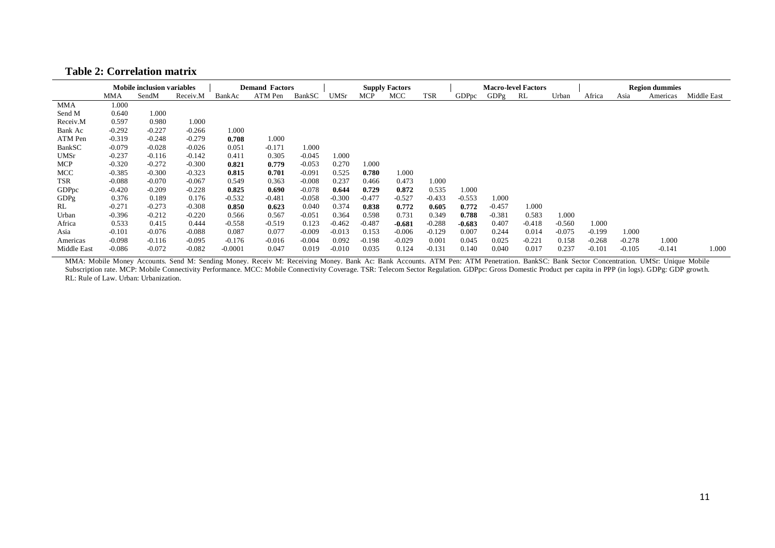#### **Table 2: Correlation matrix**

|             |          | <b>Mobile inclusion variables</b> |          |           | <b>Demand Factors</b> |          |             |          | <b>Supply Factors</b> |            |          |          | <b>Macro-level Factors</b> |          |          |          | <b>Region dummies</b> |             |
|-------------|----------|-----------------------------------|----------|-----------|-----------------------|----------|-------------|----------|-----------------------|------------|----------|----------|----------------------------|----------|----------|----------|-----------------------|-------------|
|             | MMA      | SendM                             | Receiv.M | BankAc    | ATM Pen               | BankSC   | <b>UMSr</b> | MCP      | MCC                   | <b>TSR</b> | GDPpc    | GDPg     | RL                         | Urban    | Africa   | Asia     | Americas              | Middle East |
| MMA         | 1.000    |                                   |          |           |                       |          |             |          |                       |            |          |          |                            |          |          |          |                       |             |
| Send M      | 0.640    | 1.000                             |          |           |                       |          |             |          |                       |            |          |          |                            |          |          |          |                       |             |
| Receiv.M    | 0.597    | 0.980                             | 1.000    |           |                       |          |             |          |                       |            |          |          |                            |          |          |          |                       |             |
| Bank Ac     | $-0.292$ | $-0.227$                          | $-0.266$ | 1.000     |                       |          |             |          |                       |            |          |          |                            |          |          |          |                       |             |
| ATM Pen     | $-0.319$ | $-0.248$                          | $-0.279$ | 0.708     | 1.000                 |          |             |          |                       |            |          |          |                            |          |          |          |                       |             |
| BankSC      | $-0.079$ | $-0.028$                          | $-0.026$ | 0.051     | $-0.171$              | 1.000    |             |          |                       |            |          |          |                            |          |          |          |                       |             |
| <b>UMSr</b> | $-0.237$ | $-0.116$                          | $-0.142$ | 0.411     | 0.305                 | $-0.045$ | 1.000       |          |                       |            |          |          |                            |          |          |          |                       |             |
| MCP         | $-0.320$ | $-0.272$                          | $-0.300$ | 0.821     | 0.779                 | $-0.053$ | 0.270       | 1.000    |                       |            |          |          |                            |          |          |          |                       |             |
| MCC         | $-0.385$ | $-0.300$                          | $-0.323$ | 0.815     | 0.701                 | $-0.091$ | 0.525       | 0.780    | 1.000                 |            |          |          |                            |          |          |          |                       |             |
| TSR         | $-0.088$ | $-0.070$                          | $-0.067$ | 0.549     | 0.363                 | $-0.008$ | 0.237       | 0.466    | 0.473                 | 1.000      |          |          |                            |          |          |          |                       |             |
| GDPpc       | $-0.420$ | $-0.209$                          | $-0.228$ | 0.825     | 0.690                 | $-0.078$ | 0.644       | 0.729    | 0.872                 | 0.535      | 1.000    |          |                            |          |          |          |                       |             |
| GDPg        | 0.376    | 0.189                             | 0.176    | $-0.532$  | $-0.481$              | $-0.058$ | $-0.300$    | $-0.477$ | $-0.527$              | $-0.433$   | $-0.553$ | 1.000    |                            |          |          |          |                       |             |
| RL          | $-0.271$ | $-0.273$                          | $-0.308$ | 0.850     | 0.623                 | 0.040    | 0.374       | 0.838    | 0.772                 | 0.605      | 0.772    | $-0.457$ | 1.000                      |          |          |          |                       |             |
| Urban       | $-0.396$ | $-0.212$                          | $-0.220$ | 0.566     | 0.567                 | $-0.051$ | 0.364       | 0.598    | 0.731                 | 0.349      | 0.788    | $-0.381$ | 0.583                      | 1.000    |          |          |                       |             |
| Africa      | 0.533    | 0.415                             | 0.444    | $-0.558$  | $-0.519$              | 0.123    | $-0.462$    | $-0.487$ | $-0.681$              | $-0.288$   | $-0.683$ | 0.407    | $-0.418$                   | $-0.560$ | 1.000    |          |                       |             |
| Asia        | $-0.101$ | $-0.076$                          | $-0.088$ | 0.087     | 0.077                 | $-0.009$ | $-0.013$    | 0.153    | $-0.006$              | $-0.129$   | 0.007    | 0.244    | 0.014                      | $-0.075$ | $-0.199$ | 1.000    |                       |             |
| Americas    | $-0.098$ | $-0.116$                          | $-0.095$ | $-0.176$  | $-0.016$              | $-0.004$ | 0.092       | $-0.198$ | $-0.029$              | 0.001      | 0.045    | 0.025    | $-0.221$                   | 0.158    | $-0.268$ | $-0.278$ | 1.000                 |             |
| Middle East | $-0.086$ | $-0.072$                          | $-0.082$ | $-0.0001$ | 0.047                 | 0.019    | $-0.010$    | 0.035    | 0.124                 | $-0.131$   | 0.140    | 0.040    | 0.017                      | 0.237    | $-0.101$ | $-0.105$ | $-0.141$              | 1.000       |

MMA: Mobile Money Accounts. Send M: Sending Money. Receiv M: Receiving Money. Bank Ac: Bank Accounts. ATM Pen: ATM Penetration. BankSC: Bank Sector Concentration. UMSr: Unique Mobile Subscription rate. MCP: Mobile Connectivity Performance. MCC: Mobile Connectivity Coverage. TSR: Telecom Sector Regulation. GDPpc: Gross Domestic Product per capita in PPP (in logs). GDPg: GDP growth. RL: Rule of Law. Urban: Urbanization.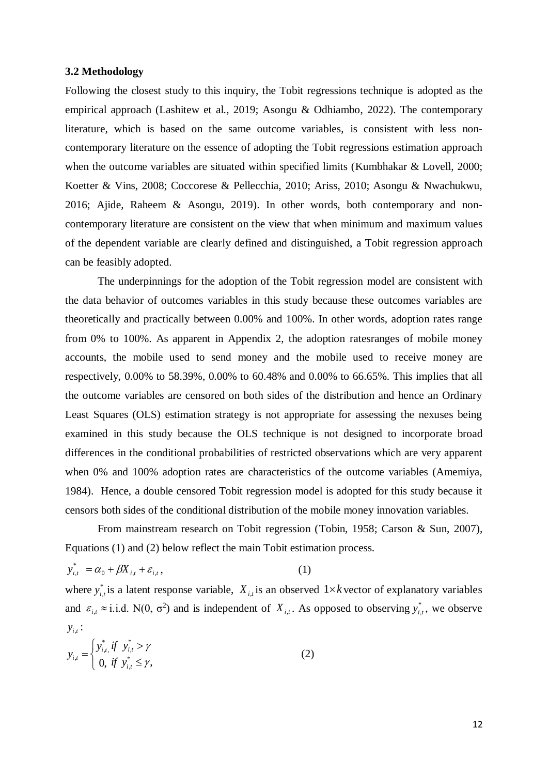#### **3.2 Methodology**

Following the closest study to this inquiry, the Tobit regressions technique is adopted as the empirical approach (Lashitew et al., 2019; Asongu & Odhiambo, 2022). The contemporary literature, which is based on the same outcome variables, is consistent with less noncontemporary literature on the essence of adopting the Tobit regressions estimation approach when the outcome variables are situated within specified limits (Kumbhakar & Lovell, 2000; Koetter & Vins, 2008; Coccorese & Pellecchia, 2010; Ariss, 2010; Asongu & Nwachukwu, 2016; Ajide, Raheem & Asongu, 2019). In other words, both contemporary and noncontemporary literature are consistent on the view that when minimum and maximum values of the dependent variable are clearly defined and distinguished, a Tobit regression approach can be feasibly adopted.

The underpinnings for the adoption of the Tobit regression model are consistent with the data behavior of outcomes variables in this study because these outcomes variables are theoretically and practically between 0.00% and 100%. In other words, adoption rates range from 0% to 100%. As apparent in Appendix 2, the adoption ratesranges of mobile money accounts, the mobile used to send money and the mobile used to receive money are respectively, 0.00% to 58.39%, 0.00% to 60.48% and 0.00% to 66.65%. This implies that all the outcome variables are censored on both sides of the distribution and hence an Ordinary Least Squares (OLS) estimation strategy is not appropriate for assessing the nexuses being examined in this study because the OLS technique is not designed to incorporate broad differences in the conditional probabilities of restricted observations which are very apparent when 0% and 100% adoption rates are characteristics of the outcome variables (Amemiya, 1984). Hence, a double censored Tobit regression model is adopted for this study because it censors both sides of the conditional distribution of the mobile money innovation variables.

From mainstream research on Tobit regression (Tobin, 1958; Carson & Sun, 2007), Equations (1) and (2) below reflect the main Tobit estimation process.

$$
y_{i,t}^* = \alpha_0 + \beta X_{i,t} + \varepsilon_{i,t},
$$
\n(1)

where  $y_{i,t}^*$  is a latent response variable,  $X_{i,t}$  is an observed  $1 \times k$  vector of explanatory variables and  $\varepsilon_{i,t} \approx$  i.i.d. N(0,  $\sigma^2$ ) and is independent of  $X_{i,t}$ . As opposed to observing  $y_{i,t}^*$ , we observe  $y_{i,t}$ :

$$
y_{i,t} = \begin{cases} y_{i,t}^* & \text{if } y_{i,t}^* > \gamma \\ 0, & \text{if } y_{i,t}^* \le \gamma, \end{cases}
$$
 (2)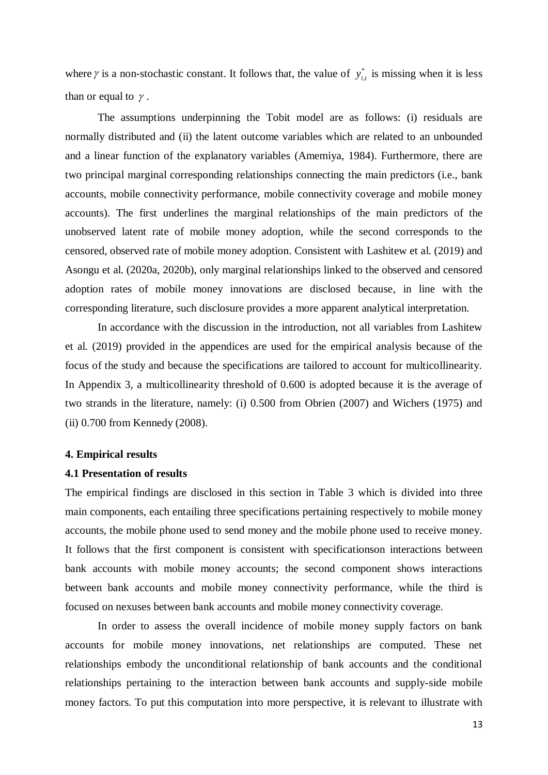where  $\gamma$  is a non-stochastic constant. It follows that, the value of  $y_{i}^{*}$  is missing when it is less than or equal to  $\gamma$ .  $y_{i,t}^*$ 

The assumptions underpinning the Tobit model are as follows: (i) residuals are normally distributed and (ii) the latent outcome variables which are related to an unbounded and a linear function of the explanatory variables (Amemiya, 1984). Furthermore, there are two principal marginal corresponding relationships connecting the main predictors (i.e., bank accounts, mobile connectivity performance, mobile connectivity coverage and mobile money accounts). The first underlines the marginal relationships of the main predictors of the unobserved latent rate of mobile money adoption, while the second corresponds to the censored, observed rate of mobile money adoption. Consistent with Lashitew et al. (2019) and Asongu et al. (2020a, 2020b), only marginal relationships linked to the observed and censored adoption rates of mobile money innovations are disclosed because, in line with the corresponding literature, such disclosure provides a more apparent analytical interpretation.

In accordance with the discussion in the introduction, not all variables from Lashitew et al. (2019) provided in the appendices are used for the empirical analysis because of the focus of the study and because the specifications are tailored to account for multicollinearity. In Appendix 3, a multicollinearity threshold of 0.600 is adopted because it is the average of two strands in the literature, namely: (i) 0.500 from Obrien (2007) and Wichers (1975) and (ii) 0.700 from Kennedy (2008).

#### **4. Empirical results**

#### **4.1 Presentation of results**

The empirical findings are disclosed in this section in Table 3 which is divided into three main components, each entailing three specifications pertaining respectively to mobile money accounts, the mobile phone used to send money and the mobile phone used to receive money. It follows that the first component is consistent with specificationson interactions between bank accounts with mobile money accounts; the second component shows interactions between bank accounts and mobile money connectivity performance, while the third is focused on nexuses between bank accounts and mobile money connectivity coverage.

In order to assess the overall incidence of mobile money supply factors on bank accounts for mobile money innovations, net relationships are computed. These net relationships embody the unconditional relationship of bank accounts and the conditional relationships pertaining to the interaction between bank accounts and supply-side mobile money factors. To put this computation into more perspective, it is relevant to illustrate with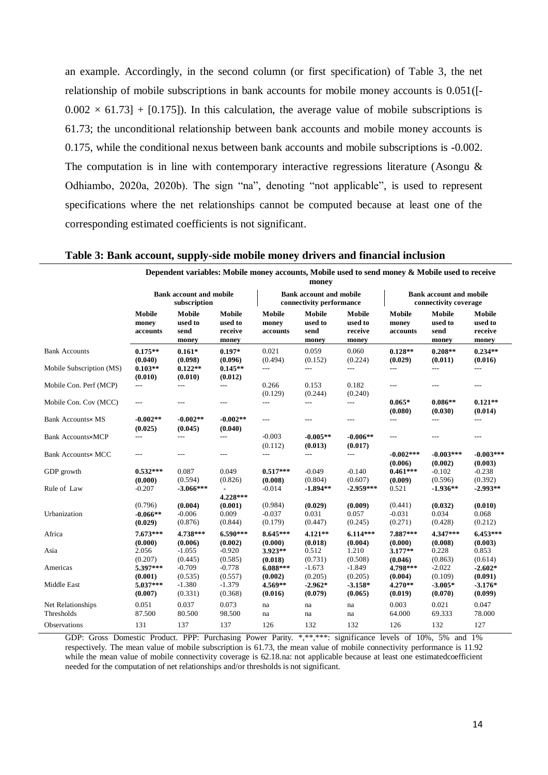an example. Accordingly, in the second column (or first specification) of Table 3, the net relationship of mobile subscriptions in bank accounts for mobile money accounts is 0.051([-  $0.002 \times 61.73$  + [0.175]). In this calculation, the average value of mobile subscriptions is 61.73; the unconditional relationship between bank accounts and mobile money accounts is 0.175, while the conditional nexus between bank accounts and mobile subscriptions is -0.002. The computation is in line with contemporary interactive regressions literature (Asongu  $\&$ Odhiambo, 2020a, 2020b). The sign "na", denoting "not applicable", is used to represent specifications where the net relationships cannot be computed because at least one of the corresponding estimated coefficients is not significant.

| Table 3: Bank account, supply-side mobile money drivers and financial inclusion |  |  |
|---------------------------------------------------------------------------------|--|--|

**Dependent variables: Mobile money accounts, Mobile used to send money & Mobile used to receive** 

|                                 | Dependent variables. Mobile money accounts, mobile used to send money & mobile used to receive<br>money |                                                |                                       |                                |                                                            |                                       |                                                         |                                    |                                       |  |
|---------------------------------|---------------------------------------------------------------------------------------------------------|------------------------------------------------|---------------------------------------|--------------------------------|------------------------------------------------------------|---------------------------------------|---------------------------------------------------------|------------------------------------|---------------------------------------|--|
|                                 |                                                                                                         | <b>Bank account and mobile</b><br>subscription |                                       |                                | <b>Bank account and mobile</b><br>connectivity performance |                                       | <b>Bank account and mobile</b><br>connectivity coverage |                                    |                                       |  |
|                                 | Mobile<br>money<br>accounts                                                                             | Mobile<br>used to<br>send<br>money             | Mobile<br>used to<br>receive<br>money | Mobile<br>money<br>accounts    | Mobile<br>used to<br>send<br>money                         | Mobile<br>used to<br>receive<br>money | Mobile<br>money<br>accounts                             | Mobile<br>used to<br>send<br>money | Mobile<br>used to<br>receive<br>money |  |
| <b>Bank Accounts</b>            | $0.175**$<br>(0.040)                                                                                    | $0.161*$<br>(0.098)                            | $0.197*$<br>(0.096)                   | 0.021<br>(0.494)               | 0.059<br>(0.152)                                           | 0.060<br>(0.224)                      | $0.128**$<br>(0.029)                                    | $0.208**$<br>(0.011)               | $0.234**$<br>(0.016)                  |  |
| Mobile Subscription (MS)        | $0.103**$<br>(0.010)                                                                                    | $0.122**$<br>(0.010)                           | $0.145**$<br>(0.012)                  | ---                            | $---$                                                      | $\sim$ $\sim$                         | ---                                                     | ---                                | $---$                                 |  |
| Mobile Con. Perf (MCP)          | ---                                                                                                     | ---                                            | $\overline{\phantom{a}}$              | 0.266<br>(0.129)               | 0.153<br>(0.244)                                           | 0.182<br>(0.240)                      | ---                                                     | ---                                | $---$                                 |  |
| Mobile Con. Cov (MCC)           | $---$                                                                                                   | $---$                                          | $---$                                 | $---$                          | $---$                                                      | $---$                                 | $0.065*$<br>(0.080)                                     | $0.086**$<br>(0.030)               | $0.121**$<br>(0.014)                  |  |
| <b>Bank Accounts× MS</b>        | $-0.002**$<br>(0.025)                                                                                   | $-0.002**$<br>(0.045)                          | $-0.002**$<br>(0.040)                 | $---$                          | $---$                                                      | $---$                                 | $\overline{a}$                                          | $---$                              | $---$                                 |  |
| <b>Bank Accounts×MCP</b>        | ---                                                                                                     | ---                                            | $\overline{\phantom{a}}$              | $-0.003$<br>(0.112)            | $-0.005**$<br>(0.013)                                      | $-0.006**$<br>(0.017)                 | ---                                                     | ---                                | ---                                   |  |
| <b>Bank Accounts× MCC</b>       | ---                                                                                                     | ---                                            | $---$                                 | ---                            | $\overline{a}$                                             | ---                                   | $-0.002***$<br>(0.006)                                  | $-0.003***$<br>(0.002)             | $-0.003***$<br>(0.003)                |  |
| GDP growth                      | $0.532***$<br>(0.000)                                                                                   | 0.087<br>(0.594)                               | 0.049<br>(0.826)                      | $0.517***$<br>(0.008)          | $-0.049$<br>(0.804)                                        | $-0.140$<br>(0.607)                   | $0.461***$<br>(0.009)                                   | $-0.102$<br>(0.596)                | $-0.238$<br>(0.392)                   |  |
| Rule of Law                     | $-0.207$                                                                                                | $-3.066***$                                    | 4.228***                              | $-0.014$                       | $-1.894**$                                                 | $-2.959***$                           | 0.521                                                   | $-1.936**$                         | $-2.993**$                            |  |
| Urbanization                    | (0.796)<br>$-0.066**$<br>(0.029)                                                                        | (0.004)<br>$-0.006$<br>(0.876)                 | (0.001)<br>0.009<br>(0.844)           | (0.984)<br>$-0.037$<br>(0.179) | (0.029)<br>0.031<br>(0.447)                                | (0.009)<br>0.057<br>(0.245)           | (0.441)<br>$-0.031$<br>(0.271)                          | (0.032)<br>0.034<br>(0.428)        | (0.010)<br>0.068<br>(0.212)           |  |
| Africa                          | $7.673***$<br>(0.000)                                                                                   | 4.738***<br>(0.006)                            | $6.590***$<br>(0.002)                 | 8.645***<br>(0.000)            | $4.121**$<br>(0.018)                                       | $6.114***$<br>(0.004)                 | 7.887***<br>(0.000)                                     | 4.347***<br>(0.008)                | $6.453***$<br>(0.003)                 |  |
| Asia                            | 2.056<br>(0.207)                                                                                        | $-1.055$<br>(0.445)                            | $-0.920$<br>(0.585)                   | $3.923**$<br>(0.018)           | 0.512<br>(0.731)                                           | 1.210<br>(0.508)                      | $3.177**$<br>(0.046)                                    | 0.228<br>(0.863)                   | 0.853<br>(0.614)                      |  |
| Americas                        | 5.397***<br>(0.001)                                                                                     | $-0.709$<br>(0.535)                            | $-0.778$<br>(0.557)                   | $6.088***$<br>(0.002)          | $-1.673$<br>(0.205)                                        | $-1.849$<br>(0.205)                   | 4.798***<br>(0.004)                                     | $-2.022$<br>(0.109)                | $-2.602*$<br>(0.091)                  |  |
| Middle East                     | $5.037***$<br>(0.007)                                                                                   | $-1.380$<br>(0.331)                            | $-1.379$<br>(0.368)                   | 4.569**<br>(0.016)             | $-2.962*$<br>(0.079)                                       | $-3.158*$<br>(0.065)                  | $4.270**$<br>(0.019)                                    | $-3.005*$<br>(0.070)               | $-3.176*$<br>(0.099)                  |  |
| Net Relationships<br>Thresholds | 0.051<br>87.500                                                                                         | 0.037<br>80.500                                | 0.073<br>98.500                       | na<br>na                       | na<br>na                                                   | na<br>na                              | 0.003<br>64.000                                         | 0.021<br>69.333                    | 0.047<br>78.000                       |  |
| <b>Observations</b>             | 131                                                                                                     | 137                                            | 137                                   | 126                            | 132                                                        | 132                                   | 126                                                     | 132                                | 127                                   |  |

GDP: Gross Domestic Product. PPP: Purchasing Power Parity. \*,\*\*,\*\*\*: significance levels of 10%, 5% and 1% respectively. The mean value of mobile subscription is 61.73, the mean value of mobile connectivity performance is 11.92 while the mean value of mobile connectivity coverage is 62.18.na: not applicable because at least one estimatedcoefficient needed for the computation of net relationships and/or thresholds is not significant.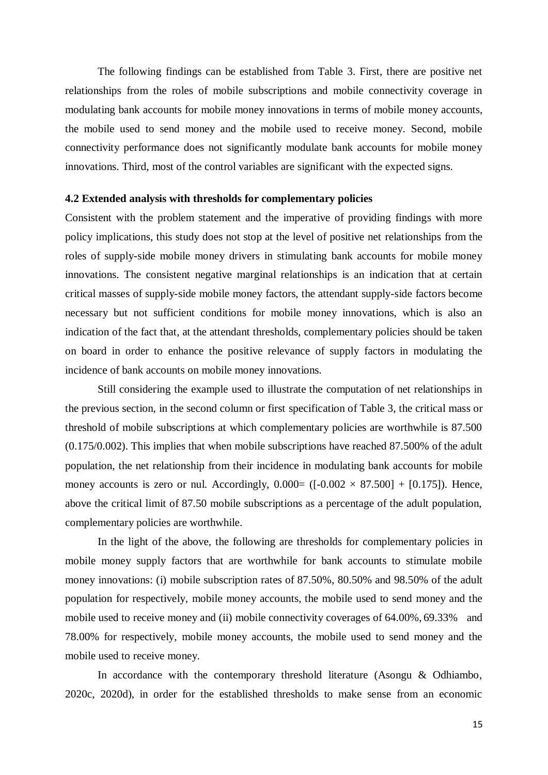The following findings can be established from Table 3. First, there are positive net relationships from the roles of mobile subscriptions and mobile connectivity coverage in modulating bank accounts for mobile money innovations in terms of mobile money accounts, the mobile used to send money and the mobile used to receive money. Second, mobile connectivity performance does not significantly modulate bank accounts for mobile money innovations. Third, most of the control variables are significant with the expected signs.

#### **4.2 Extended analysis with thresholds for complementary policies**

Consistent with the problem statement and the imperative of providing findings with more policy implications, this study does not stop at the level of positive net relationships from the roles of supply-side mobile money drivers in stimulating bank accounts for mobile money innovations. The consistent negative marginal relationships is an indication that at certain critical masses of supply-side mobile money factors, the attendant supply-side factors become necessary but not sufficient conditions for mobile money innovations, which is also an indication of the fact that, at the attendant thresholds, complementary policies should be taken on board in order to enhance the positive relevance of supply factors in modulating the incidence of bank accounts on mobile money innovations.

Still considering the example used to illustrate the computation of net relationships in the previous section, in the second column or first specification of Table 3, the critical mass or threshold of mobile subscriptions at which complementary policies are worthwhile is 87.500 (0.175/0.002). This implies that when mobile subscriptions have reached 87.500% of the adult population, the net relationship from their incidence in modulating bank accounts for mobile money accounts is zero or nul. Accordingly,  $0.000 = ([-0.002 \times 87.500] + [0.175])$ . Hence, above the critical limit of 87.50 mobile subscriptions as a percentage of the adult population, complementary policies are worthwhile.

In the light of the above, the following are thresholds for complementary policies in mobile money supply factors that are worthwhile for bank accounts to stimulate mobile money innovations: (i) mobile subscription rates of 87.50%, 80.50% and 98.50% of the adult population for respectively, mobile money accounts, the mobile used to send money and the mobile used to receive money and (ii) mobile connectivity coverages of 64.00%, 69.33% and 78.00% for respectively, mobile money accounts, the mobile used to send money and the mobile used to receive money.

In accordance with the contemporary threshold literature (Asongu & Odhiambo, 2020c, 2020d), in order for the established thresholds to make sense from an economic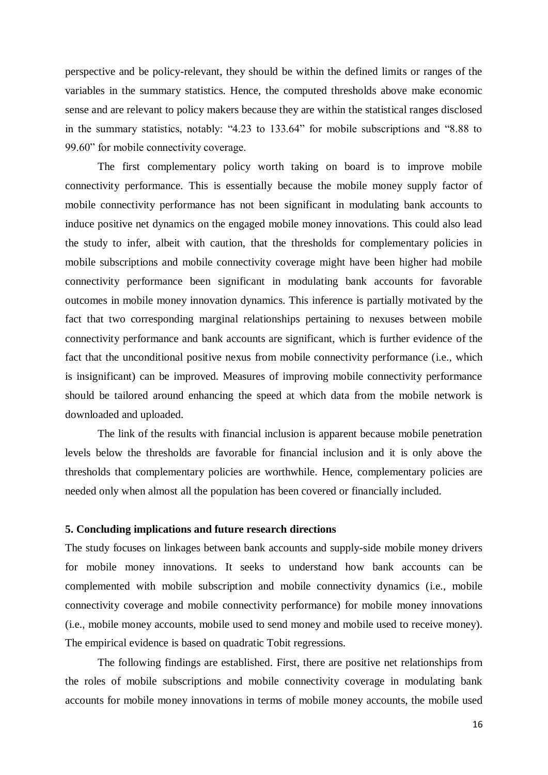perspective and be policy-relevant, they should be within the defined limits or ranges of the variables in the summary statistics. Hence, the computed thresholds above make economic sense and are relevant to policy makers because they are within the statistical ranges disclosed in the summary statistics, notably: "4.23 to 133.64" for mobile subscriptions and "8.88 to 99.60" for mobile connectivity coverage.

The first complementary policy worth taking on board is to improve mobile connectivity performance. This is essentially because the mobile money supply factor of mobile connectivity performance has not been significant in modulating bank accounts to induce positive net dynamics on the engaged mobile money innovations. This could also lead the study to infer, albeit with caution, that the thresholds for complementary policies in mobile subscriptions and mobile connectivity coverage might have been higher had mobile connectivity performance been significant in modulating bank accounts for favorable outcomes in mobile money innovation dynamics. This inference is partially motivated by the fact that two corresponding marginal relationships pertaining to nexuses between mobile connectivity performance and bank accounts are significant, which is further evidence of the fact that the unconditional positive nexus from mobile connectivity performance (i.e., which is insignificant) can be improved. Measures of improving mobile connectivity performance should be tailored around enhancing the speed at which data from the mobile network is downloaded and uploaded.

The link of the results with financial inclusion is apparent because mobile penetration levels below the thresholds are favorable for financial inclusion and it is only above the thresholds that complementary policies are worthwhile. Hence, complementary policies are needed only when almost all the population has been covered or financially included.

#### **5. Concluding implications and future research directions**

The study focuses on linkages between bank accounts and supply-side mobile money drivers for mobile money innovations. It seeks to understand how bank accounts can be complemented with mobile subscription and mobile connectivity dynamics (i.e., mobile connectivity coverage and mobile connectivity performance) for mobile money innovations (i.e., mobile money accounts, mobile used to send money and mobile used to receive money). The empirical evidence is based on quadratic Tobit regressions.

The following findings are established. First, there are positive net relationships from the roles of mobile subscriptions and mobile connectivity coverage in modulating bank accounts for mobile money innovations in terms of mobile money accounts, the mobile used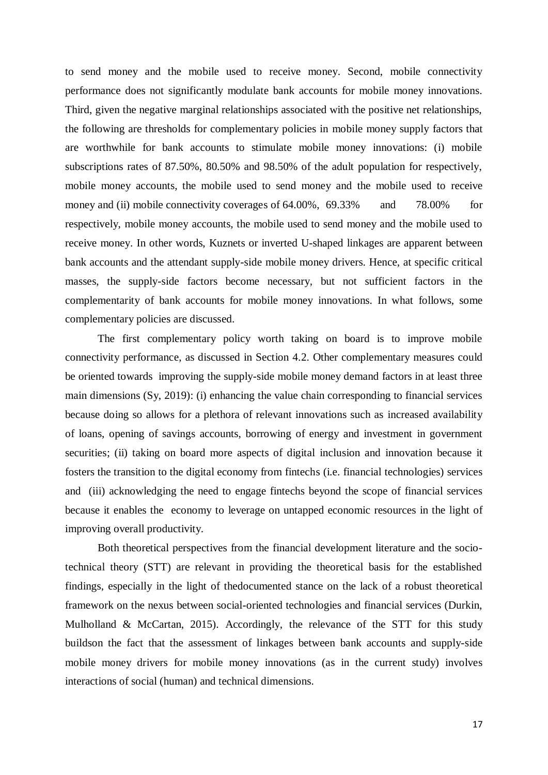to send money and the mobile used to receive money. Second, mobile connectivity performance does not significantly modulate bank accounts for mobile money innovations. Third, given the negative marginal relationships associated with the positive net relationships, the following are thresholds for complementary policies in mobile money supply factors that are worthwhile for bank accounts to stimulate mobile money innovations: (i) mobile subscriptions rates of 87.50%, 80.50% and 98.50% of the adult population for respectively, mobile money accounts, the mobile used to send money and the mobile used to receive money and (ii) mobile connectivity coverages of 64.00%, 69.33% and 78.00% for respectively, mobile money accounts, the mobile used to send money and the mobile used to receive money. In other words, Kuznets or inverted U-shaped linkages are apparent between bank accounts and the attendant supply-side mobile money drivers. Hence, at specific critical masses, the supply-side factors become necessary, but not sufficient factors in the complementarity of bank accounts for mobile money innovations. In what follows, some complementary policies are discussed.

The first complementary policy worth taking on board is to improve mobile connectivity performance, as discussed in Section 4.2. Other complementary measures could be oriented towards improving the supply-side mobile money demand factors in at least three main dimensions (Sy, 2019): (i) enhancing the value chain corresponding to financial services because doing so allows for a plethora of relevant innovations such as increased availability of loans, opening of savings accounts, borrowing of energy and investment in government securities; (ii) taking on board more aspects of digital inclusion and innovation because it fosters the transition to the digital economy from fintechs (i.e. financial technologies) services and (iii) acknowledging the need to engage fintechs beyond the scope of financial services because it enables the economy to leverage on untapped economic resources in the light of improving overall productivity.

Both theoretical perspectives from the financial development literature and the sociotechnical theory (STT) are relevant in providing the theoretical basis for the established findings, especially in the light of thedocumented stance on the lack of a robust theoretical framework on the nexus between social-oriented technologies and financial services (Durkin, Mulholland & McCartan, 2015). Accordingly, the relevance of the STT for this study buildson the fact that the assessment of linkages between bank accounts and supply-side mobile money drivers for mobile money innovations (as in the current study) involves interactions of social (human) and technical dimensions.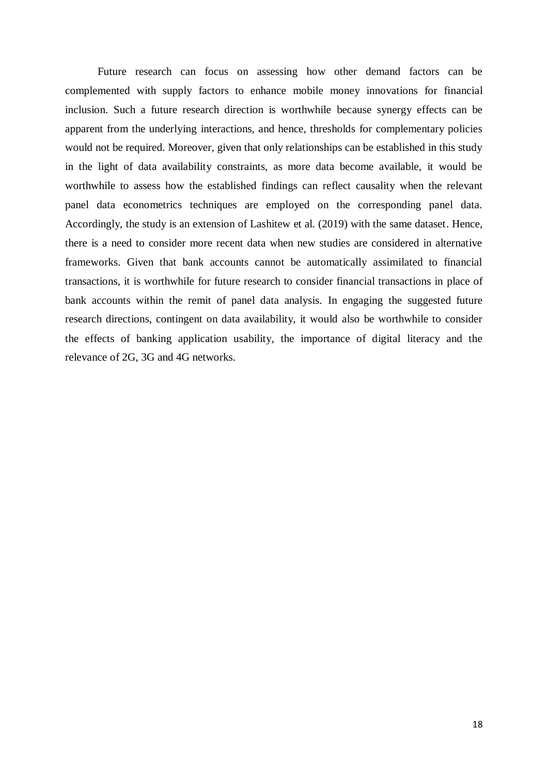Future research can focus on assessing how other demand factors can be complemented with supply factors to enhance mobile money innovations for financial inclusion. Such a future research direction is worthwhile because synergy effects can be apparent from the underlying interactions, and hence, thresholds for complementary policies would not be required. Moreover, given that only relationships can be established in this study in the light of data availability constraints, as more data become available, it would be worthwhile to assess how the established findings can reflect causality when the relevant panel data econometrics techniques are employed on the corresponding panel data. Accordingly, the study is an extension of Lashitew et al. (2019) with the same dataset. Hence, there is a need to consider more recent data when new studies are considered in alternative frameworks. Given that bank accounts cannot be automatically assimilated to financial transactions, it is worthwhile for future research to consider financial transactions in place of bank accounts within the remit of panel data analysis. In engaging the suggested future research directions, contingent on data availability, it would also be worthwhile to consider the effects of banking application usability, the importance of digital literacy and the relevance of 2G, 3G and 4G networks.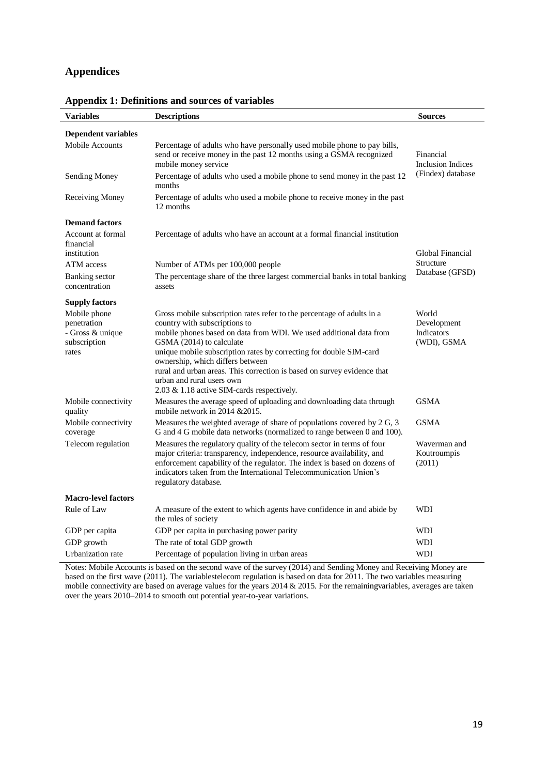# **Appendices**

| <b>Variables</b>                                                         | <b>Descriptions</b>                                                                                                                                                                                                                                                                                                                                                                                                                                                       | <b>Sources</b>                                    |
|--------------------------------------------------------------------------|---------------------------------------------------------------------------------------------------------------------------------------------------------------------------------------------------------------------------------------------------------------------------------------------------------------------------------------------------------------------------------------------------------------------------------------------------------------------------|---------------------------------------------------|
| <b>Dependent variables</b>                                               |                                                                                                                                                                                                                                                                                                                                                                                                                                                                           |                                                   |
| Mobile Accounts                                                          | Percentage of adults who have personally used mobile phone to pay bills,<br>send or receive money in the past 12 months using a GSMA recognized<br>mobile money service                                                                                                                                                                                                                                                                                                   | Financial<br><b>Inclusion Indices</b>             |
| Sending Money                                                            | Percentage of adults who used a mobile phone to send money in the past 12<br>months                                                                                                                                                                                                                                                                                                                                                                                       | (Findex) database                                 |
| Receiving Money                                                          | Percentage of adults who used a mobile phone to receive money in the past<br>12 months                                                                                                                                                                                                                                                                                                                                                                                    |                                                   |
| <b>Demand factors</b>                                                    |                                                                                                                                                                                                                                                                                                                                                                                                                                                                           |                                                   |
| Account at formal<br>financial<br>institution                            | Percentage of adults who have an account at a formal financial institution                                                                                                                                                                                                                                                                                                                                                                                                | Global Financial                                  |
| ATM access                                                               | Number of ATMs per 100,000 people                                                                                                                                                                                                                                                                                                                                                                                                                                         | Structure                                         |
| <b>Banking</b> sector<br>concentration                                   | The percentage share of the three largest commercial banks in total banking<br>assets                                                                                                                                                                                                                                                                                                                                                                                     | Database (GFSD)                                   |
| <b>Supply factors</b>                                                    |                                                                                                                                                                                                                                                                                                                                                                                                                                                                           |                                                   |
| Mobile phone<br>penetration<br>- Gross & unique<br>subscription<br>rates | Gross mobile subscription rates refer to the percentage of adults in a<br>country with subscriptions to<br>mobile phones based on data from WDI. We used additional data from<br>GSMA (2014) to calculate<br>unique mobile subscription rates by correcting for double SIM-card<br>ownership, which differs between<br>rural and urban areas. This correction is based on survey evidence that<br>urban and rural users own<br>2.03 & 1.18 active SIM-cards respectively. | World<br>Development<br>Indicators<br>(WDI), GSMA |
| Mobile connectivity<br>quality                                           | Measures the average speed of uploading and downloading data through<br>mobile network in 2014 $&2015$ .                                                                                                                                                                                                                                                                                                                                                                  | <b>GSMA</b>                                       |
| Mobile connectivity<br>coverage                                          | Measures the weighted average of share of populations covered by 2 G, 3<br>G and 4 G mobile data networks (normalized to range between 0 and 100).                                                                                                                                                                                                                                                                                                                        | <b>GSMA</b>                                       |
| Telecom regulation                                                       | Measures the regulatory quality of the telecom sector in terms of four<br>major criteria: transparency, independence, resource availability, and<br>enforcement capability of the regulator. The index is based on dozens of<br>indicators taken from the International Telecommunication Union's<br>regulatory database.                                                                                                                                                 | Waverman and<br>Koutroumpis<br>(2011)             |
| <b>Macro-level factors</b>                                               |                                                                                                                                                                                                                                                                                                                                                                                                                                                                           |                                                   |
| Rule of Law                                                              | A measure of the extent to which agents have confidence in and abide by<br>the rules of society                                                                                                                                                                                                                                                                                                                                                                           | <b>WDI</b>                                        |
| GDP per capita                                                           | GDP per capita in purchasing power parity                                                                                                                                                                                                                                                                                                                                                                                                                                 | WDI                                               |
| GDP growth                                                               | The rate of total GDP growth                                                                                                                                                                                                                                                                                                                                                                                                                                              | WDI                                               |
| Urbanization rate                                                        | Percentage of population living in urban areas                                                                                                                                                                                                                                                                                                                                                                                                                            | <b>WDI</b>                                        |

#### **Appendix 1: Definitions and sources of variables**

Notes: Mobile Accounts is based on the second wave of the survey (2014) and Sending Money and Receiving Money are based on the first wave (2011). The variablestelecom regulation is based on data for 2011. The two variables measuring mobile connectivity are based on average values for the years  $2014 \& 2015$ . For the remainingvariables, averages are taken over the years 2010–2014 to smooth out potential year-to-year variations.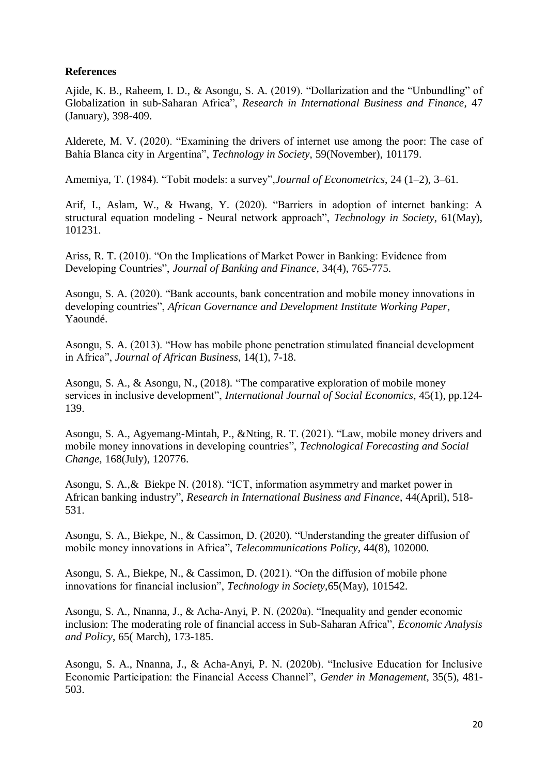### **References**

Ajide, K. B., Raheem, I. D., & Asongu, S. A. (2019). "Dollarization and the "Unbundling" of Globalization in sub-Saharan Africa", *Research in International Business and Finance*, 47 (January), 398-409.

Alderete, M. V. (2020). "Examining the drivers of internet use among the poor: The case of Bahía Blanca city in Argentina", *Technology in Society*, 59(November), 101179.

Amemiya, T. (1984). "Tobit models: a survey",*Journal of Econometrics*, 24 (1–2), 3–61.

Arif, I., Aslam, W., & Hwang, Y. (2020). "Barriers in adoption of internet banking: A structural equation modeling - Neural network approach", *Technology in Society*, 61(May), 101231.

Ariss, R. T. (2010). "On the Implications of Market Power in Banking: Evidence from Developing Countries", *Journal of Banking and Finance*, 34(4), 765-775.

Asongu, S. A. (2020). "Bank accounts, bank concentration and mobile money innovations in developing countries", *African Governance and Development Institute Working Paper*, Yaoundé.

Asongu, S. A. (2013). "How has mobile phone penetration stimulated financial development in Africa", *Journal of African Business*, 14(1), 7-18.

Asongu, S. A., & Asongu, N., (2018). "The comparative exploration of mobile money services in inclusive development", *International Journal of Social Economics*, 45(1), pp.124- 139.

Asongu, S. A., Agyemang-Mintah, P., &Nting, R. T. (2021). "Law, mobile money drivers and mobile money innovations in developing countries", *Technological Forecasting and Social Change,* 168(July), 120776.

Asongu, S. A.,& Biekpe N. (2018). "ICT, information asymmetry and market power in African banking industry", *Research in International Business and Finance*, 44(April), 518- 531.

Asongu, S. A., Biekpe, N., & Cassimon, D. (2020). "Understanding the greater diffusion of mobile money innovations in Africa", *Telecommunications Policy,* 44(8), 102000.

Asongu, S. A., Biekpe, N., & Cassimon, D. (2021). "On the diffusion of mobile phone innovations for financial inclusion", *Technology in Society,*65(May), 101542*.* 

Asongu, S. A., Nnanna, J., & Acha-Anyi, P. N. (2020a). "Inequality and gender economic inclusion: The moderating role of financial access in Sub-Saharan Africa", *Economic Analysis and Policy*, 65( March), 173-185.

Asongu, S. A., Nnanna, J., & Acha-Anyi, P. N. (2020b). "Inclusive Education for Inclusive Economic Participation: the Financial Access Channel", *Gender in Management*, 35(5), 481- 503.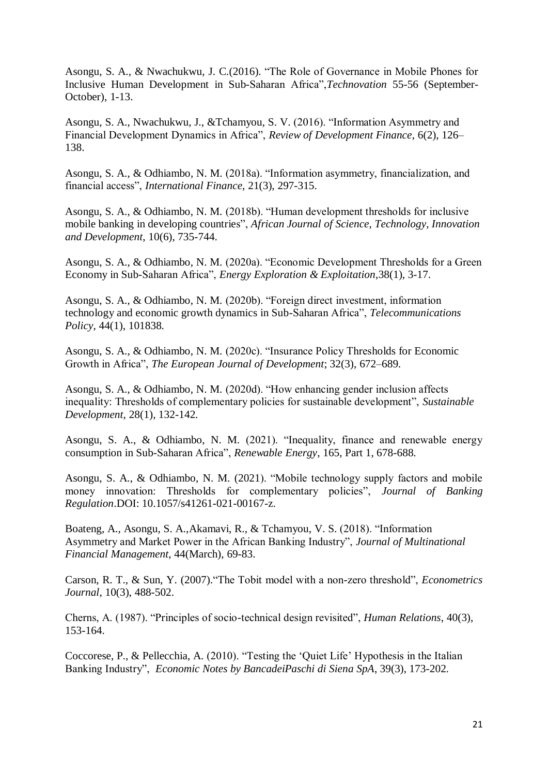Asongu, S. A., & Nwachukwu, J. C.(2016). "The Role of Governance in Mobile Phones for Inclusive Human Development in Sub-Saharan Africa",*Technovation* 55-56 (September-October), 1-13.

Asongu, S. A., Nwachukwu, J., &Tchamyou, S. V. (2016). "Information Asymmetry and Financial Development Dynamics in Africa", *Review of Development Finance*, 6(2), 126– 138.

Asongu, S. A., & Odhiambo, N. M. (2018a). "Information asymmetry, financialization, and financial access", *International Finance*, 21(3), 297-315.

Asongu, S. A., & Odhiambo, N. M. (2018b). "Human development thresholds for inclusive mobile banking in developing countries", *African Journal of Science, Technology, Innovation and Development*, 10(6), 735-744.

Asongu, S. A., & Odhiambo, N. M. (2020a). "Economic Development Thresholds for a Green Economy in Sub-Saharan Africa", *Energy Exploration & Exploitation*,38(1), 3-17.

Asongu, S. A., & Odhiambo, N. M. (2020b). "Foreign direct investment, information technology and economic growth dynamics in Sub-Saharan Africa", *Telecommunications Policy*, 44(1), 101838.

Asongu, S. A., & Odhiambo, N. M. (2020c). "Insurance Policy Thresholds for Economic Growth in Africa", *The European Journal of Development*; 32(3), 672–689.

Asongu, S. A., & Odhiambo, N. M. (2020d). "How enhancing gender inclusion affects inequality: Thresholds of complementary policies for sustainable development", *Sustainable Development*, 28(1), 132-142.

Asongu, S. A., & Odhiambo, N. M. (2021). "Inequality, finance and renewable energy consumption in Sub-Saharan Africa", *Renewable Energy*, 165, Part 1, 678-688.

Asongu, S. A., & Odhiambo, N. M. (2021). "Mobile technology supply factors and mobile money innovation: Thresholds for complementary policies", *Journal of Banking Regulation*.DOI: 10.1057/s41261-021-00167-z.

Boateng, A., Asongu, S. A.,Akamavi, R., & Tchamyou, V. S. (2018). "Information Asymmetry and Market Power in the African Banking Industry", *Journal of Multinational Financial Management*, 44(March), 69-83.

Carson, R. T., & Sun, Y. (2007)."The Tobit model with a non-zero threshold", *Econometrics Journal*, 10(3), 488-502.

Cherns, A. (1987). "Principles of socio-technical design revisited", *Human Relations*, 40(3), 153-164.

Coccorese, P., & Pellecchia, A. (2010). "Testing the 'Quiet Life' Hypothesis in the Italian Banking Industry", *Economic Notes by BancadeiPaschi di Siena SpA*, 39(3), 173-202.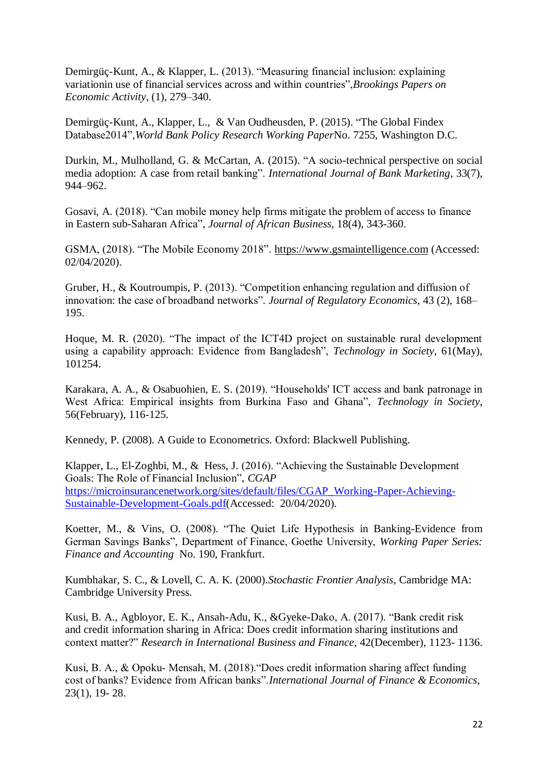Demirgüç-Kunt, A., & Klapper, L. (2013). "Measuring financial inclusion: explaining variationin use of financial services across and within countries",*Brookings Papers on Economic Activity*, (1), 279–340.

Demirgüç-Kunt, A., Klapper, L., & Van Oudheusden, P. (2015). "The Global Findex Database2014",*World Bank Policy Research Working Paper*No. 7255, Washington D.C.

Durkin, M., Mulholland, G. & McCartan, A. (2015). "A socio-technical perspective on social media adoption: A case from retail banking". *International Journal of Bank Marketing*, 33(7), 944–962.

Gosavi, A. (2018). "Can mobile money help firms mitigate the problem of access to finance in Eastern sub-Saharan Africa", *Journal of African Business*, 18(4), 343-360.

GSMA, (2018). "The Mobile Economy 2018". [https://www.gsmaintelligence.com](https://www.gsmaintelligence.com/) (Accessed: 02/04/2020).

Gruber, H., & Koutroumpis, P. (2013). "Competition enhancing regulation and diffusion of innovation: the case of broadband networks". *Journal of Regulatory Economics*, 43 (2), 168– 195.

Hoque, M. R. (2020). "The impact of the ICT4D project on sustainable rural development using a capability approach: Evidence from Bangladesh", *Technology in Society*, 61(May), 101254.

Karakara, A. A., & Osabuohien, E. S. (2019). "Households' ICT access and bank patronage in West Africa: Empirical insights from Burkina Faso and Ghana", *Technology in Society*, 56(February), 116-125.

Kennedy, P. (2008). A Guide to Econometrics. Oxford: Blackwell Publishing.

Klapper, L., El-Zoghbi, M., & Hess, J. (2016). "Achieving the Sustainable Development Goals: The Role of Financial Inclusion", *CGAP* [https://microinsurancenetwork.org/sites/default/files/CGAP\\_Working-Paper-Achieving-](https://microinsurancenetwork.org/sites/default/files/CGAP_Working-Paper-Achieving-Sustainable-Development-Goals.pdf)[Sustainable-Development-Goals.pdf\(](https://microinsurancenetwork.org/sites/default/files/CGAP_Working-Paper-Achieving-Sustainable-Development-Goals.pdf)Accessed: 20/04/2020).

Koetter, M., & Vins, O. (2008). "The Quiet Life Hypothesis in Banking-Evidence from German Savings Banks", Department of Finance, Goethe University, *Working Paper Series: Finance and Accounting* No. 190, Frankfurt.

Kumbhakar, S. C., & Lovell, C. A. K. (2000).*Stochastic Frontier Analysis*, Cambridge MA: Cambridge University Press.

Kusi, B. A., Agbloyor, E. K., Ansah-Adu, K., &Gyeke-Dako, A. (2017). "Bank credit risk and credit information sharing in Africa: Does credit information sharing institutions and context matter?" *Research in International Business and Finance*, 42(December), 1123- 1136.

Kusi, B. A., & Opoku‐ Mensah, M. (2018)."Does credit information sharing affect funding cost of banks? Evidence from African banks".*International Journal of Finance & Economics*, 23(1), 19- 28.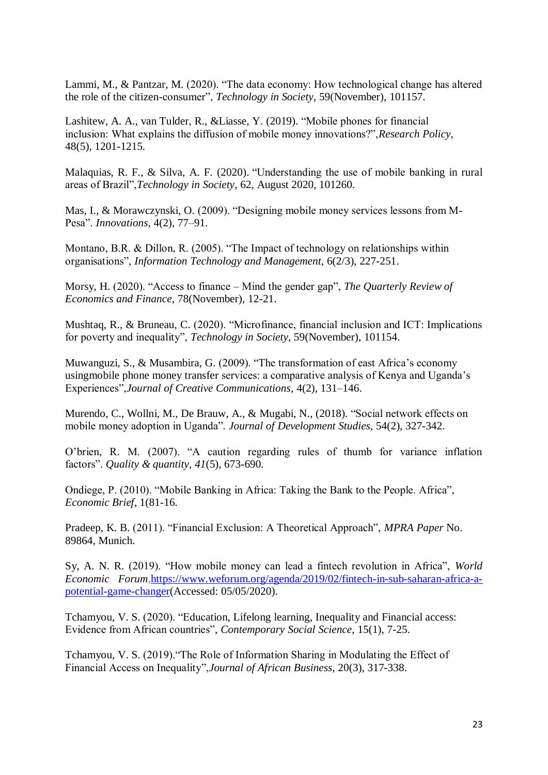Lammi, M., & Pantzar, M. (2020). "The data economy: How technological change has altered the role of the citizen-consumer", *Technology in Society*, 59(November), 101157.

Lashitew, A. A., van Tulder, R., &Liasse, Y. (2019). "Mobile phones for financial inclusion: What explains the diffusion of mobile money innovations?",*Research Policy*, 48(5), 1201-1215.

Malaquias, R. F., & Silva, A. F. (2020). "Understanding the use of mobile banking in rural areas of Brazil",*Technology in Society*, 62, August 2020, 101260.

Mas, I., & Morawczynski, O. (2009). "Designing mobile money services lessons from M-Pesa". *Innovations*, 4(2), 77–91.

Montano, B.R. & Dillon, R. (2005). "The Impact of technology on relationships within organisations", *Information Technology and Management*, 6(2/3), 227-251.

Morsy, H. (2020). "Access to finance – Mind the gender gap", *The Quarterly Review of Economics and Finance*, 78(November), 12-21.

Mushtaq, R., & Bruneau, C. (2020). "Microfinance, financial inclusion and ICT: Implications for poverty and inequality", *Technology in Society*, 59(November), 101154.

Muwanguzi, S., & Musambira, G. (2009). "The transformation of east Africa's economy usingmobile phone money transfer services: a comparative analysis of Kenya and Uganda's Experiences",*Journal of Creative Communications*, 4(2), 131–146.

Murendo, C., Wollni, M., De Brauw, A., & Mugabi, N., (2018). "Social network effects on mobile money adoption in Uganda". *Journal of Development Studies*, 54(2), 327-342.

O'brien, R. M. (2007). "A caution regarding rules of thumb for variance inflation factors". *Quality & quantity*, *41*(5), 673-690.

Ondiege, P. (2010). "Mobile Banking in Africa: Taking the Bank to the People. Africa", *Economic Brief*, 1(81-16.

Pradeep, K. B. (2011). "Financial Exclusion: A Theoretical Approach", *MPRA Paper* No. 89864, Munich.

Sy, A. N. R. (2019). "How mobile money can lead a fintech revolution in Africa", *World Economic Forum*[,https://www.weforum.org/agenda/2019/02/fintech-in-sub-saharan-africa-a](https://www.weforum.org/agenda/2019/02/fintech-in-sub-saharan-africa-a-potential-game-changer)[potential-game-changer\(](https://www.weforum.org/agenda/2019/02/fintech-in-sub-saharan-africa-a-potential-game-changer)Accessed: 05/05/2020).

Tchamyou, V. S. (2020). "Education, Lifelong learning, Inequality and Financial access: Evidence from African countries", *Contemporary Social Science*, 15(1), 7-25.

Tchamyou, V. S. (2019)."The Role of Information Sharing in Modulating the Effect of Financial Access on Inequality",*Journal of African Business*, 20(3), 317-338.